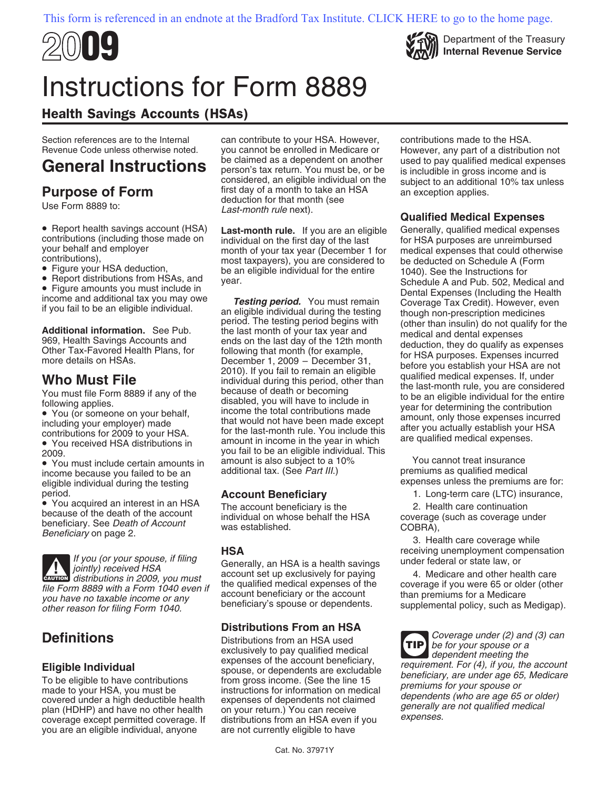



# Instructions for Form 8889

# Health Savings Accounts (HSAs)

Section references are to the Internal can contribute to your HSA. However, contributions made to the HSA.<br>Revenue Code unless otherwise noted. you cannot be enrolled in Medicare or However, any part of a distribut

- 
- 

income because you failed to be an additional tax. (See Part III.) expenses unless the premiums are for:<br>eligible individual during the testing **Account Beneficiary** 1. Long-term care (LTC) insurance,<br>• You acquired an interest in an HSA The account beneficiary is the second and the same continuation

• You acquired an interest in an HSA The account beneficiary is the 2. Health care continuation because of the death of the account individual on whose behalf the HSA beneficiary on page 2.<br>
Beneficiary on page 2.<br>
Benefi

**HSA** receiving unemployment compensation If you (or your spouse, if filing Generally, an HSA is a health savings under federal or state law, or jointly) received HSA account set up exclusively for paying 4. Medicare and other health care **CAUTION** distributions in 2009, you must **EAUTION** distributions in 2009, you must File Form 8889 with a Form 1040 even if<br>
you have no taxable income or any<br>
other reason for filing Form 1040.<br>
other reason for filing Form 1040.<br>
other reason for filing Form 1040.<br>
other reason for filing Form 1040.

you are an eligible individual, anyone are not currently eligible to have

you cannot be enrolled in Medicare or However, any part of a distribution not<br>be claimed as a dependent on another used to pay qualified medical expenses **Purpose of Form** first day of a month to take an HSA an exception applies.<br>Use Form 8889 to: Last-month rule next). **Qualified Medical Expenses** 

## **Distributions From an HSA**

Eligible Individual<br>
To be eligible to have contributions<br>
To be eligible to have contributions<br>
To be eligible to have contributions<br>
made to your HSA, you must be<br>
made to your HSA, you must be<br>
ensincence (See the line

General Instructions be claimed as a dependent on another used to pay qualified medical expenses<br>
considered, an eligible individual on the subject to an additional 10% tax unless<br>
Purpose of Form the state of the state an

• Report health savings account (HSA) Last-month rule. If you are an eigible Generally, qualified media sypenses that contributions), you then the streage of the streage of the streage of the streage of the secture of the

**Definitions**<br>
Distributions from an HSA used<br>
exclusively to pay qualified medical dependent meeting the<br>
dependent meeting the **TIP**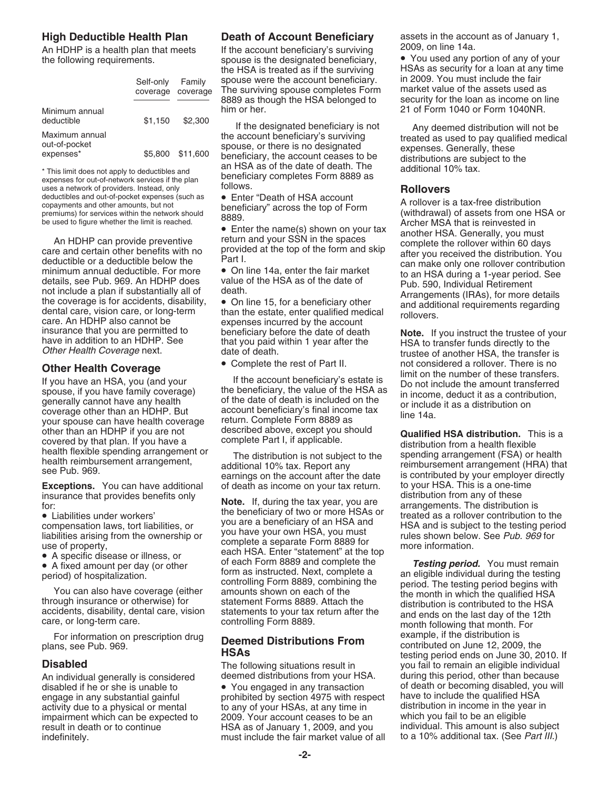|                                              | Self-only<br>coverage | Family<br>coverage |
|----------------------------------------------|-----------------------|--------------------|
| Minimum annual<br>deductible                 | \$1.150               | \$2,300            |
| Maximum annual<br>out-of-pocket<br>expenses* |                       | \$5,800 \$11,600   |

expenses for out-of-network services if the plan<br>uses a network of providers. Instead, only **follows. Rollovers**<br>deductibles and out-of-pocket expenses (such as **e** Enter "Death of HSA account deductibles and out-of-pocket expenses (such as  $\bullet$  Enter "Death of HSA account copayments and other amounts, but not beneficiary" across the top of Form

If you have an HSA, you (and your If the account beneficiary's estate is I Do not include the amount transferred<br>spouse, if you have family coverage) the beneficiary, the value of the HSA as in income, deduct it as a contr your spouse can have health coverage return. Complete Form 8889 as<br>
other than an HDHP if you are not described above, except you should<br>
covered by that plan. If you have a complete Part I, if applicable. distribution fro

**Exceptions.** You can have additional of death as income on your tax return. to your HSA. This is a one-time insurance that provides benefits only

For information on prescription drug<br>plans, see Pub. 969.<br>**Deemed Distributions From** example, if the distribution is<br>contributed on June 12, 2009, the

An HDHP is a health plan that meets If the account beneficiary's surviving 2009, on line 14a.<br>the following requirements. spouse is the designated beneficiary,  $\bullet$  You used any portion of any of your spouse were the account beneficiary. in 2009. You must include the fair<br>The surviving spouse completes Form imarket value of the assets used as The surviving spouse completes Form and market value of the assets used as<br>8889 as though the HSA belonged to a security for the loan as income on line 8889 as though the HSA belonged to him or her. 21 of Form 1040 or Form 1040NR.

deductible \$1,150 \$2,300 <br>
Maximum annual the account beneficiary's surviving<br>
out-of-pocket \$5,800 \$11,600 beneficiary, the account ceases to be<br>
\*This limit does not apply to deductibles and<br>
expenses for out-of-network

spouse, if you have family coverage) the beneficiary, the value of the HSA as<br>generally cannot have any health of the date of death is included on the<br>coverage other than an HDHP. But account beneficiary's final income tax

insurance that provides benefits only<br>
insurance that provides benefits only<br>
insurance that provides benefits only<br>
in the beneficiary of two or more HSAs or<br>
compensation laws, tort liabilities, or<br>
insurance that are a • A specific disease or illness, or<br>• A fixed amount per day (or other of each Form 8889 and complete the *Testing period.* You must remain<br>period) of hospitalization. form as instructed. Next, complete a an eligible ind

engage in any substantial gainful exprohibited by section 4975 with respect have to include the qualified HSA<br>activity due to a physical or mental express to any of your HSAs, at any time in activity due to a physical or mental to any of your HSAs, at any time in distribution in income in the year in<br>impairment which can be expected to 2009. Your account ceases to be an which you fail to be an eligible impairment which can be expected to 2009. Your account ceases to be an which you fail to be an eligible<br>result in death or to continue HSA as of January 1, 2009, and you individual. This amount is also subject HSA as of January 1, 2009, and you individual. This amount is also subject must include the fair market value of all to a 10% additional tax. (See Part III.) indefinitely. The include the fair market value of all to a 10 km state value of all to a 10 km state Part II.

**High Deductible Health Plan Death of Account Beneficiary** assets in the account as of January 1,<br>An HDHP is a health plan that meets lif the account beneficiany's surviving 2009, on line 14a.

the HSA is treated as if the surviving  $\overline{H}$  HSAs as security for a loan at any time spouse were the account beneficiary in 2009. You must include the fair

copayments and other amounts, but not<br>
beneficiary" across the top of Form<br>
beneficiary" across the top of Form<br>
beneficiary" across the top of Form<br>
beneficiary" across the top of Form<br>
An HDHP can provide preventive<br>
de

insurance that you are permitted to beneficiary before the date of death **Note.** If you instruct the trustee of your<br>have in addition to an HDHP. See that you paid within 1 year after the HSA to transfer funds directly to **Other Health Coverage** • Complete the rest of Part II. not considered a rollover. There is no<br>If the account beneficiary's estate is<br>Do not include the amount transferred

covered by that plan. If you have a<br>health flexible spending arrangement or<br>health reimbursement arrangement,<br>see Pub. 969.<br>additional 10% tax. Report any<br>earnings on the account after the date<br>is contributed by your emplo

Form as instructed. Next, complete a<br>
You can also have coverage (either controlling Form 8889, combining the<br>
Through insurance or otherwise) for statement Forms 8889. Attach the<br>
accidents, disability, dental care, visio plans, see Pub. 969. **Distributions From Public Public Contributions From** contributions from the following situations result in the volusial to remain an eligible individual **Disabled** The following situations result in you fail to remain an eligible individual An individual generally is considered deemed distributions from your HSA. during this period, other than because disabled if he or she is unable to  $\bullet$  You engaged in any transaction of death or becoming disabled, you will engaged in any transaction of death or becoming disabled, you will engaged in any substantial gainful or prohib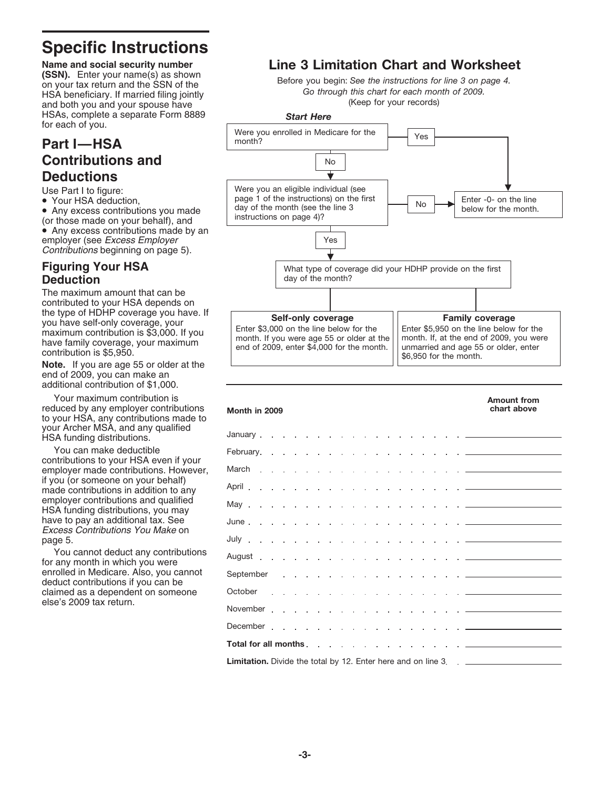# **Specific Instructions**

**Name and social security number (SSN).** Enter your name(s) as shown on your tax return and the SSN of the HSA beneficiary. If married filing jointly and both you and your spouse have HSAs, complete a separate Form 8889 for each of you.

# **Part I—HSA Contributions and Deductions**

Use Part I to figure:

• Your HSA deduction,

• Any excess contributions you made (or those made on your behalf), and • Any excess contributions made by an employer (see Excess Employer Contributions beginning on page 5).

## **Figuring Your HSA Deduction**

The maximum amount that can be contributed to your HSA depends on the type of HDHP coverage you have. If you have self-only coverage, your maximum contribution is \$3,000. If you have family coverage, your maximum contribution is \$5,950.

**Note.** If you are age 55 or older at the end of 2009, you can make an additional contribution of \$1,000.

Your maximum contribution is reduced by any employer contributions to your HSA, any contributions made to your Archer MSA, and any qualified HSA funding distributions.

You can make deductible contributions to your HSA even if your employer made contributions. However, if you (or someone on your behalf) made contributions in addition to any employer contributions and qualified HSA funding distributions, you may have to pay an additional tax. See Excess Contributions You Make on page 5.

You cannot deduct any contributions for any month in which you were enrolled in Medicare. Also, you cannot deduct contributions if you can be claimed as a dependent on someone else's 2009 tax return.

# **Line 3 Limitation Chart and Worksheet**

Before you begin: *See the instructions for line 3 on page 4. Go through this chart for each month of 2009.* (Keep for your records)



| Month in 2009                                                                           | <b>Amount from</b><br>chart above |  |  |  |  |
|-----------------------------------------------------------------------------------------|-----------------------------------|--|--|--|--|
| January <del>.</del>                                                                    |                                   |  |  |  |  |
|                                                                                         |                                   |  |  |  |  |
|                                                                                         |                                   |  |  |  |  |
|                                                                                         |                                   |  |  |  |  |
|                                                                                         |                                   |  |  |  |  |
|                                                                                         |                                   |  |  |  |  |
|                                                                                         |                                   |  |  |  |  |
|                                                                                         |                                   |  |  |  |  |
|                                                                                         |                                   |  |  |  |  |
| October <del>.</del>                                                                    |                                   |  |  |  |  |
|                                                                                         |                                   |  |  |  |  |
| December <del>.</del>                                                                   |                                   |  |  |  |  |
|                                                                                         |                                   |  |  |  |  |
| <b>Limitation.</b> Divide the total by 12. Enter here and on line 3. . ________________ |                                   |  |  |  |  |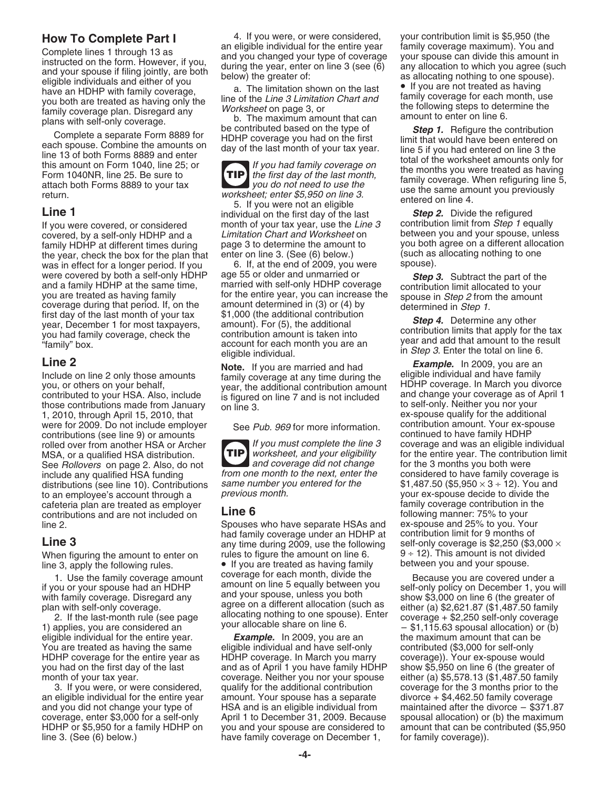Complete lines 1 through 13 as<br>
Complete lines 1 through 13 as<br>
instructed on the form. However, if you, and you changed your spuces can divide this amount in<br>
all during the year, enter on line 3 (see (6) any allocation t

family HDHP at different times during page 3 to determine the amount to you both agree on a different allocation<br>the year, check the box for the plan that enter on line 3. (See (6) below.) (such as allocating nothing to on the year, check the box for the plan that enter on line 3. (See (6) below.) (such as was in effect for a longer period. If you  $\frac{1}{2}$  6. If, at the end of 2009, you were spouse). was in effect for a longer period. If you 6. If, at the end of 2009, you v<br>were covered by both a self-only HDHP age 55 or older and unmarried or

those contributions made from January on line 3.<br>
1, 2010, through April 15, 2010, that ex-spouse qualify for the additional<br>
were for 2009. Do not include employer See Pub 969 for more information contribution amount. You were for 2009. Do not include employer See Pub. 969 for more information. Contribution amount. Your ex-spontributions (see line 9) or amounts contributions (see line 9) or amounts contributions (see line 9) or amounts contributions continued to have family HDHP  $\frac{1}{2}$  if you must complete the line 3 MSA, or a qualified HSA distribution. Worksheet, and your eligibility for the entire year. The contribution is<br>See Rollovers on page 2. Also, do not and coverage did not change for the 3 months you both were See Rollovers on page 2. Also, do not and coverage did not change include any qualified HSA funding from one month to the next, enter the distributions (see line 10). Contributions same number you be an employee's account through a previous month. to an employee's account through a previous month.<br>
cafeteria plan are treated as employer  $\cdot$ ,  $\cdot$ cafeteria plan are treated as employer **Line 6** and the state of the state of the contribution in the contribution in the contribution in the contribution in the contributions and are not included on **Line 6** and the state contributions and are not included on **LINE 6** following manner: 75% to your<br>line 2. Spouses who have separate HSAs and ex-spouse and 25% to you. Your

**How To Complete Part I** 4. If you were, or were considered, your contribution limit is \$5,950 (the an eligible individual for the entire year family coverage maximum). You and

**TIP** the first day of the last month,

use the same amount you previously<br>return.<br>**Line 1** individual on the first day of the last **Step 2.** Divide the refigured<br>**Line 1** individual on the first day of the last **Step 2.** Divide the refigured

If you were covered, or considered month of your tax year, use the Line  $3$  contribution limit from Step 1 equally covered, by a self-only HDHP and a Limitation Chart and Worksheet on between you and your spouse, unles

were covered by both a self-only HDHP age 55 or older and unmarried or<br>and a family HDHP at the same time, married with self-only HDHP coverage<br>you are treated as having family for the entire year, you can increase the<br>co Coverage during that period. If, on the amount determined in (3) or (4) by<br>
first day of the last month of your tax<br>
year, December 1 for most taxpayers,<br>
year, December 1 for most taxpayers,<br>
year, December 1 for most tax

**TIP**

Spouses who have separate HSAs and ex-spouse and 25% to you. Your<br>had family coverage under an HDHP at contribution limit for 9 months of had family coverage under an HDHP at **Line 3**<br>any time during 2009, use the following self-only coverage is \$2,250 (\$3,000 × any time during 2009, use the following self-only coverage is \$2,250 (\$3,000 × mules to figure the amount on line 6. When figuring the amount to enter on rules to figure the amount on line 6.  $9 \div 12$ . This amount is not dividency of the following rules.<br>• If you are treated as having family between you and your spouse. line 3, apply the following rules.<br>1 Lise the family coverage amount coverage for each month, divide the 1. Use the family coverage amount<br>
if you or your spouse had an HDHP amount on line 5 equally between you<br>
if you or your spouse had an HDHP amount on line 5 equally between you<br>
with family coverage. Disregard any and you

eligible individual for the entire year. *Example.* In 2009, you are an the maximum amount that can be You are treated as having the same eligible individual and have self-only contributed (\$3,000 for self-only HDHP coverage for the entire year as HDHP coverage. In March you marry coverage)). Your ex-spouse would<br>you had on the first day of the last and as of April 1 you have family HDHP show \$5,950 on line 6 (the greater of you had on the first day of the last and as of April 1 you have family HDHP show \$5,950 on line 6 (the greater of<br>coverage. Neither you nor your spouse either (a) \$5,578.13 (\$1,487.50 family coverage. Neither you nor your spouse 3. If you were, or were considered, qualify for the additional contribution coverage for the 3 months prior to the an eligible individual for the entire year amount. Your spouse has a separate divorce + \$4,462.50 family coverage and you did not change your type of HSA and is an eligible individual from maintained after the divorce – \$371.87<br>coverage, enter \$3,000 for a self-only April 1 to December 31, 2009. Because spousal allocation) or (b) the coverage, enter \$3,000 for a self-only April 1 to December 31, 2009. Because spousal allocation) or (b) the maximum<br>HDHP or \$5,950 for a family HDHP on you and your spouse are considered to amount that can be contributed ( you and your spouse are considered to amount that can be contributed (\$5,950) line 3. (See (6) below.) have family coverage on December 1, for family coverage)).

covered, by a self-only HDHP and a Limitation Chart and Worksheet on between you and your spouse, unless<br>family HDHP at different times during page 3 to determine the amount to you both agree on a different allocation

rolled over from another HSA or Archer  $\begin{bmatrix} 1f \text{ you must complete the line 3} \\ \text{worksheet, and your eligibility} \end{bmatrix}$  for the entire year. The contribution limit from one month to the next, enter the considered to have family coverage is same number you entered for the  $$1,487.50 ($5,950 \times 3 ÷ 12)$ . You and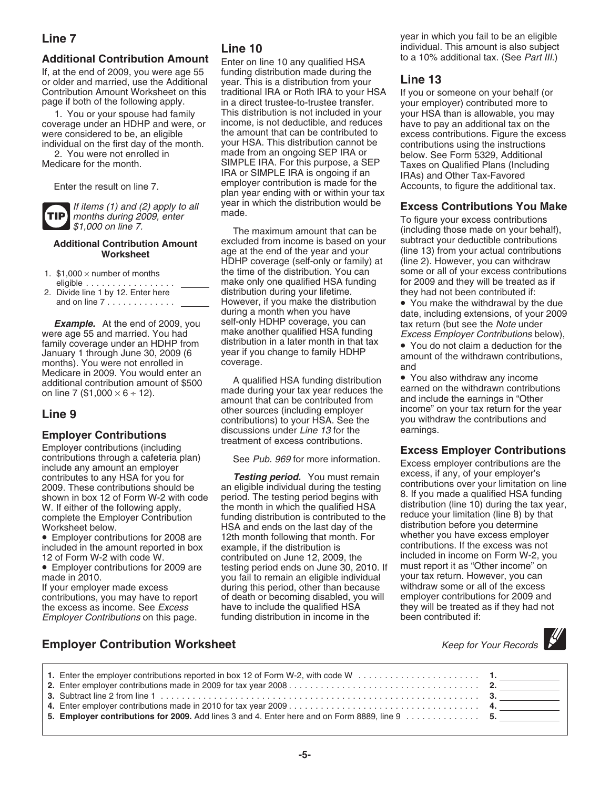# **Additional Contribution Amount** Enter on line 10 any qualified HSA

If, at the end of 2009, you were age 55 funding distribution made during the or older and married, use the Additional year. This is a distribution from your or older and married, use the Additional year. This is a distribution from your **Line 13** Contribution Amount Worksheet on this traditional IRA or Roth IRA to your HSA If you or someone on your behalf (or page if both of the following apply. in a direct trustee-to-trustee transfer. your employer) contributed mo

coverage under an HDHP and were, or income, is not deductible, and reduces were considered to be, an eligible  $\frac{1}{2}$  the amount that can be contributed to

**TIP**

- 
- 

Using the Using of the Withdrawn contributions,<br>
Medicare in 2009. You would enter an<br>
and ditional contribution amount of \$500<br>
on line 7 (\$1,000  $\times$  6  $\div$  12).<br>
A qualified HSA funding distribution<br>
and distribution<br>

Employer contributions through a cafeteria plan)<br>
include any amount an employer<br>
contributions are the<br>
contributions are the<br>
contributions are the<br>
contributions are the<br>
contributions should be<br>
an eligible individual

Employer Contributions on this page.

in a direct trustee-to-trustee transfer. your employer) contributed more to<br>This distribution is not included in your your HSA than is allowable, you ma 1. You or your spouse had family This distribution is not included in your your HSA than is allowable, you may<br>erage under an HDHP and were, or income, is not deductible, and reduces have to pay an additional tax on the your HSA. This distribution cannot be 2. You were not enrolled in made from an ongoing SEP IRA or below. See Form 5329, Additional<br>SIMPLE IRA. For this purpose, a SEP Taxes on Qualified Plans (Including Medicare for the month. SIMPLE IRA. For this purpose, a SEP Taxes on Qualified Plans (Including<br>IRA or SIMPLE IRA is ongoing if an IRAs) and Other Tax-Favored<br>Enter the result on line 7. plan year ending with or within you If items (1) and (2) apply to all vear in which the distribution would be<br>months during 2009, enter made.<br>To figure your excess contributions

**Additional Contribution Amount** excluded from income is based on your<br>Worksheet age at the end of the year and your **Worksheet** and age at the end of the year and your<br>
HDHP coverage (self-only or family) at (line 2). However, you can withdraw HDHP coverage (self-only or family) at the time of the distribution. You can make only one qualified HSA funding for 2009 and they will be treated as if<br>distribution during your lifetime.<br>they had not been contributed if: 2. Divide line 1 by 12. Enter here distribution during your lifetime. they had not been contributed if: and on line 7 . . . .......... However, if you make the distribution • You make the withdrawal by the due during a month when you have date, including extensions, of your 2009 **Example.** At the end of 2009, you self-only HDHP coverage, you can tax return (but see the Note under were age 55 and married. You had make another qualified HSA funding Excess Employer Contributions be were age 55 and married. You had make another qualified HSA funding Excess Employer Contributions below),<br>
family coverage under an HDHP from distribution in a later month in that tax  $\bullet$  You do not claim a deduction for family coverage under an HDHP from distribution in a later month in that tax • You do not claim a deduction for the January 1 through June 30, 2009 (6 year if you change to family HDHP

**CONSERVANCE SOURCES (INCREDITED SOURCES CONTREMENTATION SUBSERVIERTY)**<br>
Income" on your tax return for the year<br>
contributions) to your HSA. See the you withdraw the contributions and<br>
discussions under *Line 13* for the **Employer Contributions** discussions under *Line 13* for the treatment of excess contributions.<br>
Employer contributions (including

complete the Employer Contribution funding distribution is contributed to the reduce your limitation (line 8) by tha<br>Worksheet below. HSA and ends on the last day of the distribution before you determine<br>Employer contribut • Employer contributions for 2008 are 12th month following that month. For whether you have excess employer included in the amount reported in box example, if the distribution is included in the amount reported in box example, if the distribution is contributions. If the excess was not included in income on Form W-2, you 12 of Form W-2 with code W. contributed on June 12, 2009, the included in income on Form W-2, you<br>• Employer contributions for 2009 are testing period ends on June 30, 2010. If must report it as "Other income" on • Employer contributions for 2009 are testing period ends on June 30, 2010. If must report it as "Other income" on you fail to remain an eligible individual your tax return. However, you can<br>during this period, other than because withdraw some or all of the excess If your employer made excess during this period, other than because withdraw some or all of the excess<br>contributions, you may have to report of death or becoming disabled, you will employer contributions for 2009 and contributions, you may have to report of death or becoming disabled, you will employer contributions for 2009 and<br>the excess as income. See *Excess* have to include the qualified HSA they will be treated as if they had not the excess as income. See *Excess* have to include the qualified HSA they will be treated as if the mode if the<br>Employer Contributions on this page. It the distribution in income in the been contributed if:

**Line 7** year in which you fail to be an eligible individual. This amount is also subject<br>to a 10% additional tax. (See Part III.)

were considered to be, an eligible the amount that can be contributed to excess contributions. Figure the excess individual on the first day of the month. your HSA. This distribution cannot be contributions using the instr

months during 2009, enter mass.<br>\$1,000 on line 7. The maximum amount that can be (including those made on your behand (including those made on your behalf), subtract your deductible contributions 1. \$1,000 × number of months the time of the distribution. You can some or all of your excess contributions

## **Employer Contribution Worksheet** Manual Communication of *Keep for Your Records*

| 1. Enter the employer contributions reported in box 12 of Form W-2, with code W $\ldots$ , $\ldots$ , $\ldots$ , $\ldots$ , $\ldots$ , $\ldots$ , $\ldots$ |  |
|------------------------------------------------------------------------------------------------------------------------------------------------------------|--|
|                                                                                                                                                            |  |
|                                                                                                                                                            |  |
|                                                                                                                                                            |  |
|                                                                                                                                                            |  |
| 5. Employer contributions for 2009. Add lines 3 and 4. Enter here and on Form 8889, line 9 5.                                                              |  |
|                                                                                                                                                            |  |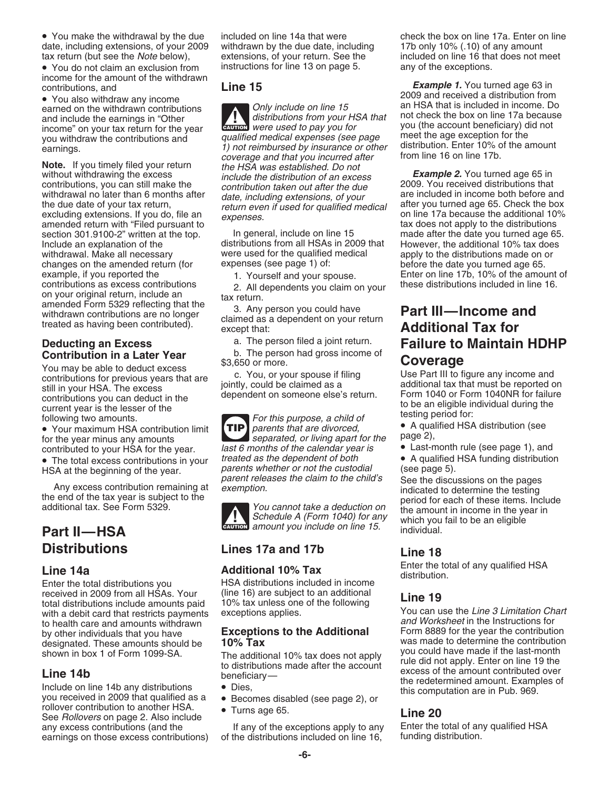• You make the withdrawal by the due included on line 14a that were check the box on line 17a. Enter on line date, including extensions, of your 2009 withdrawn by the due date, including 17b only 10% (.10) of any amount

• You do not claim an exclusion from instructions for line 13 on page 5. income for the amount of the withdrawn

**Note.** If you timely filed your return the HSA was established. Do not without withdrawing the excess include the distribution of an exce excluding extensions. If you do, file an expenses.<br>amended return with "Filed pursuant to tax does not apply to the distributions<br>section 301.9100-2" written at the top. In general, include on line 15 made after the date y section 301.9100-2" written at the top. In general, include on line 15 made after the date you turned age 65.<br>Include an explanation of the distributions from all HSAs in 2009 that However, the additional 10% tax does withdrawal. Make all necessary were used for the qualified medical apply to the distributions made on or<br>changes on the amended return (for expenses (see page 1) of: before the date you turned age 65. changes on the amended return (for expenses (see page 1) of: before the date you turned age 65. contributions as excess contributions 2. All dependents you claim on your these distributions included in line 16.<br>on your original return, include an tax return. <br>amended Form 5329 reflecting that the 3. Any porson you co

# **Contribution in a Later Year** b. The person had the state of the person had gross income of the state of the state of the state of the state of the state of the state of the state of the state of the state of the state of

Volumay be able to deduct excess<br>
You may be able to deduct excess<br>
contributions for previous years that are<br>
still in your HSA. The excess<br>
contributions for previous years that are<br>
still in your HSA. The excess<br>
contri

• The total excess contributions in your treated as the dependent of both • A qualified HSA funding distribution HSA at the beginning of the year parents whether or not the custodial (see page 5).

Enter the total distributions you HSA distributions included in income received in 2009 from all HSAs. Your (line 16) are subject to an additional<br>
total distributions include amounts paid 10% tax unless one of the following **Line 19**<br>
Wou can use the *Line 3 Limitation Chart*<br>
Wou can use th with a debit card that restricts payments exceptions applies.<br>The health care and amounts withdrawn<br>And Worksheet in the Instructions for to health care and amounts withdrawn<br>by other individuals that you have **Exceptions to the Additional** designated. These amounts should be **10% Tax** was made to determine the contribution<br>shown in box 1 of Form 1099-SA. The additional 10% tax does not apply you could have made if the last-month

Follover contribution to another HSA.<br>
See *Rollovers* on page 2. Also include<br>
if any of the exceptions apply to any<br>
Enter the total of any qualified HSA earnings on those excess contributions)

earned on the withdrawn contributions and include on line 15 and HSA that is included in income. Do and include the earnings in "Other distributions from your HSA that is included in income. Do distributions income of the **EAUTION** *Were used to pay you for* god windid the commutations and the informal property of the amount coverage and that you incurred after from line 16 on line 17b. include the distribution of an excess<br>contribution taken out after the due<br>2009. You received distributions that contributions, you can still make the contribution taken out after the due<br>withdrawal no later than 6 months after date, including extensions, of your are included in income both before and withdrawal no later than 6 months after date, including extensions, of your are included in income both before and<br>the due date of your tax return, even if used for qualified medical after you turned age 65. Check the box<br>

distributions from all HSAs in 2009 that However, the additional 10% tax does<br>were used for the qualified medical apply to the distributions made on or

amended Form 3323 relecting that the and start part of the same of the start of the claimed as a dependent on your return **Part III—Income and** claimed as a dependent on your return **Additional Tax for** *Additional Tax fo* 

For this purpose, a child of<br>
• Your maximum HSA contribution limit<br>
for the year minus any amounts<br>
For this purpose, a child of<br>
page 2),<br>
separated, or living apart for the page 2),<br>
last 6 months of the calendar year i **TIP** last 6 months of the calendar year is<br>treated as the dependent of both HSA at the beginning of the year. parents whether or not the custodial (see page 5).<br>parent releases the claim to the child's See the discussions on the pages



# **Distributions Lines 17a and 17b Line 18**

- 
- 
- 

If any of the exceptions apply to any Enter the total of any of the distributions included on line 16, funding distribution.

tax return (but see the *Note* below), extensions, of your return. See the included on line 16 that does not meet <br>• You do not claim an exclusion from instructions for line 13 on page 5. any of the exceptions.

contributions, and<br>
• You also withdraw any income<br>
• You also withdrawn contributions<br>
earned on the withdrawn contributions<br> **Example 1.** You turned age 63 in<br>
2009 and received a distribution from<br>
an HSA that is includ

example, if you reported the 1. Yourself and your spouse. Enter on line 17b, 10% of the amount of contributions as excess contributions  $\frac{1}{2}$  All dependents you claim on your these distributions included in line 16.

# **Deducting an Excess** a. The person filed a joint return. **Failure to Maintain HDHP**<br>Contribution in a Later Year b. The person had gross income of

- 
- 

Any excess contribution remaining at<br>
Any excess contribution remaining at<br>
the end of the tax year is subject to the<br>
additional tax. See Form 5329.<br> **Example 19.1** Schedule A (Form 1040) for any<br>
amount you include on li

Enter the total of any qualified HSA **Line 14a Additional 10% Tax** distribution.

**Exceptions to the Additional** Form 8889 for the year the contribution<br>**10% Tax** was made to determine the contribution shown in box 1 of Form 1099-SA.<br>
The additional 10% tax does not apply<br>
to distributions made after the account<br>
to distributions made after the account<br>
to distributions made after the account<br>
to distributions made after